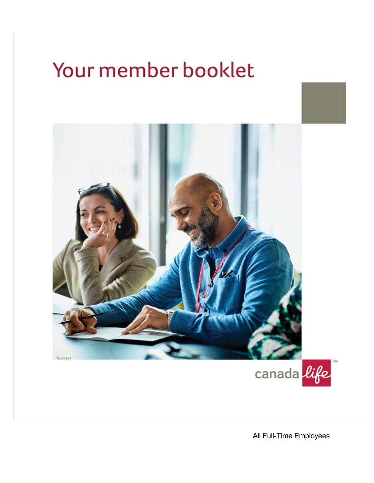# Your member booklet





All Full-Time Employees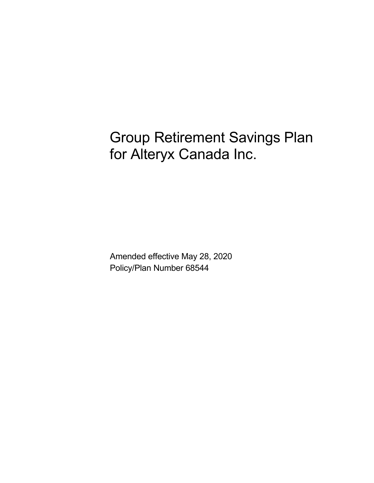Group Retirement Savings Plan for Alteryx Canada Inc.

Amended effective May 28, 2020 Policy/Plan Number 68544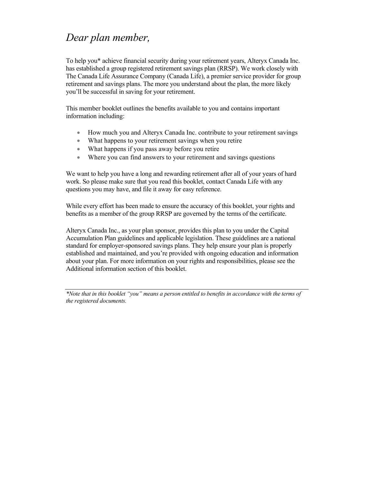## *Dear plan member,*

To help you\* achieve financial security during your retirement years, Alteryx Canada Inc. has established a group registered retirement savings plan (RRSP). We work closely with The Canada Life Assurance Company (Canada Life), a premier service provider for group retirement and savings plans. The more you understand about the plan, the more likely you'll be successful in saving for your retirement.

This member booklet outlines the benefits available to you and contains important information including:

- How much you and Alteryx Canada Inc. contribute to your retirement savings
- What happens to your retirement savings when you retire
- What happens if you pass away before you retire
- Where you can find answers to your retirement and savings questions

We want to help you have a long and rewarding retirement after all of your years of hard work. So please make sure that you read this booklet, contact Canada Life with any questions you may have, and file it away for easy reference.

While every effort has been made to ensure the accuracy of this booklet, your rights and benefits as a member of the group RRSP are governed by the terms of the certificate.

Alteryx Canada Inc., as your plan sponsor, provides this plan to you under the Capital Accumulation Plan guidelines and applicable legislation. These guidelines are a national standard for employer-sponsored savings plans. They help ensure your plan is properly established and maintained, and you're provided with ongoing education and information about your plan. For more information on your rights and responsibilities, please see the Additional information section of this booklet.

*\*Note that in this booklet "you" means a person entitled to benefits in accordance with the terms of the registered documents.*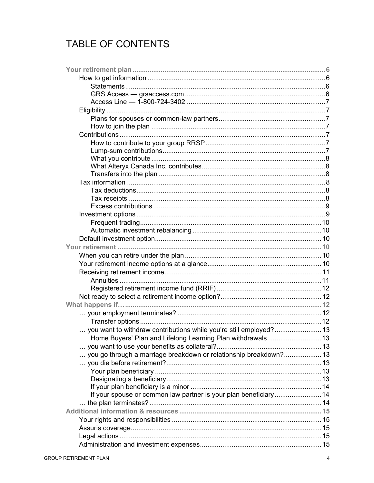## TABLE OF CONTENTS

| you want to withdraw contributions while you're still employed? 13 |  |
|--------------------------------------------------------------------|--|
|                                                                    |  |
|                                                                    |  |
| you go through a marriage breakdown or relationship breakdown? 13  |  |
|                                                                    |  |
|                                                                    |  |
|                                                                    |  |
|                                                                    |  |
| If your spouse or common law partner is your plan beneficiary 14   |  |
|                                                                    |  |
|                                                                    |  |
|                                                                    |  |
|                                                                    |  |
|                                                                    |  |
|                                                                    |  |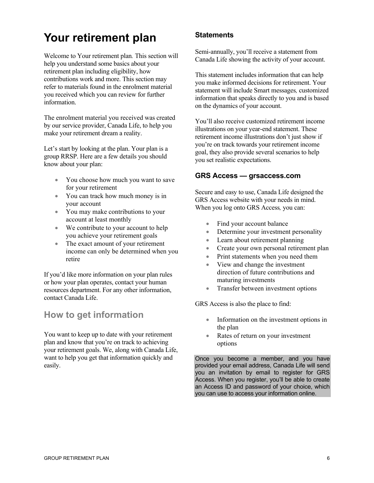## **Your retirement plan**

Welcome to Your retirement plan*.* This section will help you understand some basics about your retirement plan including eligibility, how contributions work and more. This section may refer to materials found in the enrolment material you received which you can review for further information.

The enrolment material you received was created by our service provider, Canada Life, to help you make your retirement dream a reality.

Let's start by looking at the plan. Your plan is a group RRSP. Here are a few details you should know about your plan:

- You choose how much you want to save for your retirement
- You can track how much money is in your account
- You may make contributions to your account at least monthly
- We contribute to your account to help you achieve your retirement goals
- The exact amount of your retirement income can only be determined when you retire

If you'd like more information on your plan rules or how your plan operates, contact your human resources department. For any other information, contact Canada Life.

## **How to get information**

You want to keep up to date with your retirement plan and know that you're on track to achieving your retirement goals. We, along with Canada Life, want to help you get that information quickly and easily.

## **Statements**

Semi-annually, you'll receive a statement from Canada Life showing the activity of your account.

This statement includes information that can help you make informed decisions for retirement. Your statement will include Smart messages*,* customized information that speaks directly to you and is based on the dynamics of your account.

You'll also receive customized retirement income illustrations on your year-end statement. These retirement income illustrations don't just show if you're on track towards your retirement income goal, they also provide several scenarios to help you set realistic expectations.

## **GRS Access — [grsaccess.com](http://www.grsaccess.com/)**

Secure and easy to use, Canada Life designed the GRS Access website with your needs in mind. When you log onto GRS Access*,* you can:

- Find your account balance
- Determine your investment personality
- Learn about retirement planning
- Create your own personal retirement plan
- Print statements when you need them
- View and change the investment direction of future contributions and maturing investments
- Transfer between investment options

GRS Access is also the place to find:

- Information on the investment options in the plan
- Rates of return on your investment options

Once you become a member, and you have provided your email address, Canada Life will send you an invitation by email to register for GRS Access. When you register, you'll be able to create an Access ID and password of your choice, which you can use to access your information online.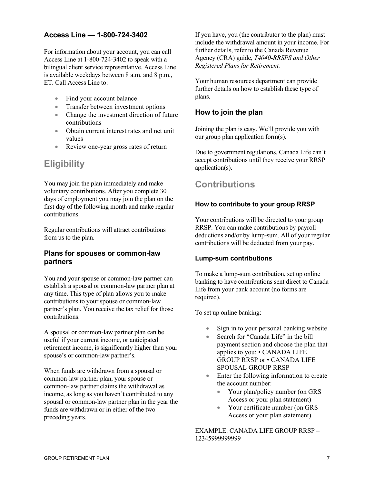## **Access Line — 1-800-724-3402**

For information about your account, you can call Access Line at 1-800-724-3402 to speak with a bilingual client service representative. Access Line is available weekdays between 8 a.m. and 8 p.m., ET. Call Access Line to:

- Find your account balance
- Transfer between investment options
- Change the investment direction of future contributions
- Obtain current interest rates and net unit values
- Review one-year gross rates of return

## **Eligibility**

You may join the plan immediately and make voluntary contributions. After you complete 30 days of employment you may join the plan on the first day of the following month and make regular contributions.

Regular contributions will attract contributions from us to the plan.

## **Plans for spouses or common-law partners**

You and your spouse or common-law partner can establish a spousal or common-law partner plan at any time. This type of plan allows you to make contributions to your spouse or common-law partner's plan. You receive the tax relief for those contributions.

A spousal or common-law partner plan can be useful if your current income, or anticipated retirement income, is significantly higher than your spouse's or common-law partner's.

When funds are withdrawn from a spousal or common-law partner plan, your spouse or common-law partner claims the withdrawal as income, as long as you haven't contributed to any spousal or common-law partner plan in the year the funds are withdrawn or in either of the two preceding years.

If you have, you (the contributor to the plan) must include the withdrawal amount in your income. For further details, refer to the Canada Revenue Agency (CRA) guide, *T4040-RRSPS and Other Registered Plans for Retirement.*

Your human resources department can provide further details on how to establish these type of plans.

## **How to join the plan**

Joining the plan is easy. We'll provide you with our group plan application form(s).

Due to government regulations, Canada Life can't accept contributions until they receive your RRSP application(s).

## **Contributions**

### **How to contribute to your group RRSP**

Your contributions will be directed to your group RRSP. You can make contributions by payroll deductions and/or by lump-sum. All of your regular contributions will be deducted from your pay.

### **Lump-sum contributions**

To make a lump-sum contribution, set up online banking to have contributions sent direct to Canada Life from your bank account (no forms are required).

To set up online banking:

- Sign in to your personal banking website
- Search for "Canada Life" in the bill payment section and choose the plan that applies to you: • CANADA LIFE GROUP RRSP or • CANADA LIFE SPOUSAL GROUP RRSP
- Enter the following information to create the account number:
	- Your plan/policy number (on GRS Access or your plan statement)
	- Your certificate number (on GRS Access or your plan statement)

EXAMPLE: CANADA LIFE GROUP RRSP – 12345999999999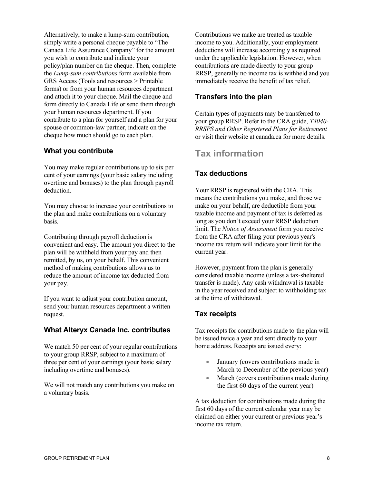Alternatively, to make a lump-sum contribution, simply write a personal cheque payable to "The Canada Life Assurance Company" for the amount you wish to contribute and indicate your policy/plan number on the cheque. Then, complete the *Lump-sum contributions* form available from GRS Access (Tools and resources > Printable forms) or from your human resources department and attach it to your cheque. Mail the cheque and form directly to Canada Life or send them through your human resources department. If you contribute to a plan for yourself and a plan for your spouse or common-law partner, indicate on the cheque how much should go to each plan.

## **What you contribute**

You may make regular contributions up to six per cent of your earnings (your basic salary including overtime and bonuses) to the plan through payroll deduction.

You may choose to increase your contributions to the plan and make contributions on a voluntary basis.

Contributing through payroll deduction is convenient and easy. The amount you direct to the plan will be withheld from your pay and then remitted, by us, on your behalf. This convenient method of making contributions allows us to reduce the amount of income tax deducted from your pay.

If you want to adjust your contribution amount, send your human resources department a written request.

### **What Alteryx Canada Inc. contributes**

We match 50 per cent of your regular contributions to your group RRSP, subject to a maximum of three per cent of your earnings (your basic salary including overtime and bonuses).

We will not match any contributions you make on a voluntary basis.

Contributions we make are treated as taxable income to you. Additionally, your employment deductions will increase accordingly as required under the applicable legislation. However, when contributions are made directly to your group RRSP, generally no income tax is withheld and you immediately receive the benefit of tax relief.

## **Transfers into the plan**

Certain types of payments may be transferred to your group RRSP. Refer to the CRA guide, *T4040- RRSPS and Other Registered Plans for Retirement*  or visit their website at canada.ca for more details.

## **Tax information**

## **Tax deductions**

Your RRSP is registered with the CRA. This means the contributions you make, and those we make on your behalf, are deductible from your taxable income and payment of tax is deferred as long as you don't exceed your RRSP deduction limit. The *Notice of Assessment* form you receive from the CRA after filing your previous year's income tax return will indicate your limit for the current year.

However, payment from the plan is generally considered taxable income (unless a tax-sheltered transfer is made). Any cash withdrawal is taxable in the year received and subject to withholding tax at the time of withdrawal.

## **Tax receipts**

Tax receipts for contributions made to the plan will be issued twice a year and sent directly to your home address. Receipts are issued every:

- January (covers contributions made in March to December of the previous year)
- March (covers contributions made during the first 60 days of the current year)

A tax deduction for contributions made during the first 60 days of the current calendar year may be claimed on either your current or previous year's income tax return.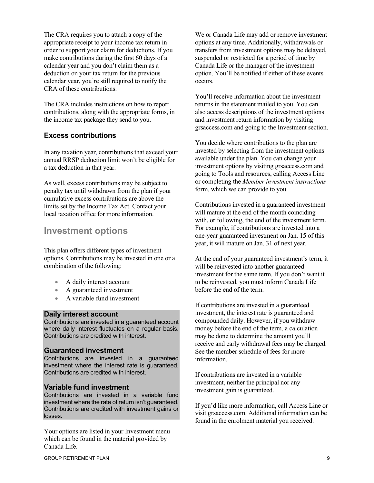The CRA requires you to attach a copy of the appropriate receipt to your income tax return in order to support your claim for deductions. If you make contributions during the first 60 days of a calendar year and you don't claim them as a deduction on your tax return for the previous calendar year, you're still required to notify the CRA of these contributions.

The CRA includes instructions on how to report contributions, along with the appropriate forms, in the income tax package they send to you.

## **Excess contributions**

In any taxation year, contributions that exceed your annual RRSP deduction limit won't be eligible for a tax deduction in that year.

As well, excess contributions may be subject to penalty tax until withdrawn from the plan if your cumulative excess contributions are above the limits set by the Income Tax Act. Contact your local taxation office for more information.

## **Investment options**

This plan offers different types of investment options. Contributions may be invested in one or a combination of the following:

- A daily interest account
- A guaranteed investment
- A variable fund investment

### **Daily interest account**

Contributions are invested in a guaranteed account where daily interest fluctuates on a regular basis. Contributions are credited with interest.

### **Guaranteed investment**

Contributions are invested in a guaranteed investment where the interest rate is guaranteed. Contributions are credited with interest.

### **Variable fund investment**

Contributions are invested in a variable fund investment where the rate of return isn't guaranteed. Contributions are credited with investment gains or losses.

Your options are listed in your Investment menu which can be found in the material provided by Canada Life.

We or Canada Life may add or remove investment options at any time. Additionally, withdrawals or transfers from investment options may be delayed, suspended or restricted for a period of time by Canada Life or the manager of the investment option. You'll be notified if either of these events occurs.

You'll receive information about the investment returns in the statement mailed to you. You can also access descriptions of the investment options and investment return information by visiting grsaccess.com and going to the Investment section.

You decide where contributions to the plan are invested by selecting from the investment options available under the plan. You can change your investment options by visitin[g grsaccess.com](http://www.grsaccess.com/) and going to Tools and resources, calling Access Line or completing the *Member investment instructions* form, which we can provide to you.

Contributions invested in a guaranteed investment will mature at the end of the month coinciding with, or following, the end of the investment term. For example, if contributions are invested into a one-year guaranteed investment on Jan. 15 of this year, it will mature on Jan. 31 of next year.

At the end of your guaranteed investment's term, it will be reinvested into another guaranteed investment for the same term. If you don't want it to be reinvested, you must inform Canada Life before the end of the term.

If contributions are invested in a guaranteed investment, the interest rate is guaranteed and compounded daily. However, if you withdraw money before the end of the term, a calculation may be done to determine the amount you'll receive and early withdrawal fees may be charged. See the member schedule of fees for more information.

If contributions are invested in a variable investment, neither the principal nor any investment gain is guaranteed.

If you'd like more information, call Access Line or visit [grsaccess.com.](http://www.grsaccess.com/) Additional information can be found in the enrolment material you received.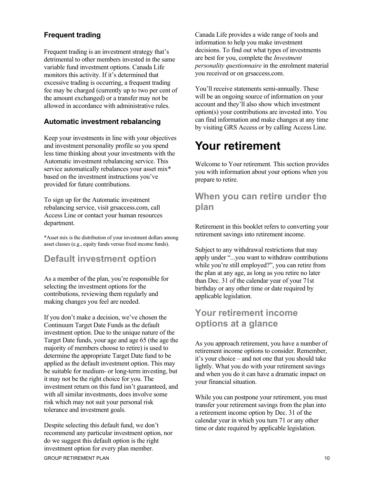## **Frequent trading**

Frequent trading is an investment strategy that's detrimental to other members invested in the same variable fund investment options. Canada Life monitors this activity. If it's determined that excessive trading is occurring, a frequent trading fee may be charged (currently up to two per cent of the amount exchanged) or a transfer may not be allowed in accordance with administrative rules.

## **Automatic investment rebalancing**

Keep your investments in line with your objectives and investment personality profile so you spend less time thinking about your investments with the Automatic investment rebalancing service. This service automatically rebalances your asset mix\* based on the investment instructions you've provided for future contributions.

To sign up for the Automatic investment rebalancing service, visit [grsaccess.com,](http://www.grsaccess.com/) call Access Line or contact your human resources department.

\*Asset mix is the distribution of your investment dollars among asset classes (e.g., equity funds versus fixed income funds).

## **Default investment option**

As a member of the plan, you're responsible for selecting the investment options for the contributions, reviewing them regularly and making changes you feel are needed.

If you don't make a decision, we've chosen the Continuum Target Date Funds as the default investment option. Due to the unique nature of the Target Date funds, your age and age 65 (the age the majority of members choose to retire) is used to determine the appropriate Target Date fund to be applied as the default investment option. This may be suitable for medium- or long-term investing, but it may not be the right choice for you. The investment return on this fund isn't guaranteed, and with all similar investments, does involve some risk which may not suit your personal risk tolerance and investment goals.

Despite selecting this default fund, we don't recommend any particular investment option, nor do we suggest this default option is the right investment option for every plan member.

Canada Life provides a wide range of tools and information to help you make investment decisions. To find out what types of investments are best for you, complete the *Investment personality questionnaire* in the enrolment material you received or o[n grsaccess.com.](http://www.grsaccess.com/)

You'll receive statements semi-annually. These will be an ongoing source of information on your account and they'll also show which investment option(s) your contributions are invested into. You can find information and make changes at any time by visiting GRS Access or by calling Access Line.

## **Your retirement**

Welcome to Your retirement*.* This section provides you with information about your options when you prepare to retire.

## **When you can retire under the plan**

Retirement in this booklet refers to converting your retirement savings into retirement income.

Subject to any withdrawal restrictions that may apply under "...you want to withdraw contributions while you're still employed?", you can retire from the plan at any age, as long as you retire no later than Dec. 31 of the calendar year of your 71st birthday or any other time or date required by applicable legislation.

## **Your retirement income options at a glance**

As you approach retirement, you have a number of retirement income options to consider. Remember, it's your choice – and not one that you should take lightly. What you do with your retirement savings and when you do it can have a dramatic impact on your financial situation.

While you can postpone your retirement, you must transfer your retirement savings from the plan into a retirement income option by Dec. 31 of the calendar year in which you turn 71 or any other time or date required by applicable legislation.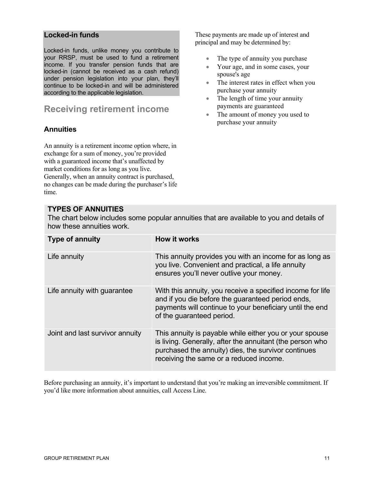### **Locked-in funds**

Locked-in funds, unlike money you contribute to your RRSP, must be used to fund a retirement income. If you transfer pension funds that are locked-in (cannot be received as a cash refund) under pension legislation into your plan, they'll continue to be locked-in and will be administered according to the applicable legislation.

## **Receiving retirement income**

## **Annuities**

An annuity is a retirement income option where, in exchange for a sum of money, you're provided with a guaranteed income that's unaffected by market conditions for as long as you live. Generally, when an annuity contract is purchased, no changes can be made during the purchaser's life time.

## **TYPES OF ANNUITIES**

The chart below includes some popular annuities that are available to you and details of how these annuities work.

| <b>Type of annuity</b>          | <b>How it works</b>                                                                                                                                                                                                    |
|---------------------------------|------------------------------------------------------------------------------------------------------------------------------------------------------------------------------------------------------------------------|
| Life annuity                    | This annuity provides you with an income for as long as<br>you live. Convenient and practical, a life annuity<br>ensures you'll never outlive your money.                                                              |
| Life annuity with guarantee     | With this annuity, you receive a specified income for life<br>and if you die before the guaranteed period ends,<br>payments will continue to your beneficiary until the end<br>of the quaranteed period.               |
| Joint and last survivor annuity | This annuity is payable while either you or your spouse<br>is living. Generally, after the annuitant (the person who<br>purchased the annuity) dies, the survivor continues<br>receiving the same or a reduced income. |

Before purchasing an annuity, it's important to understand that you're making an irreversible commitment. If you'd like more information about annuities, call Access Line.

These payments are made up of interest and principal and may be determined by:

- The type of annuity you purchase
- Your age, and in some cases, your spouse's age
- The interest rates in effect when you purchase your annuity
- The length of time your annuity payments are guaranteed
- The amount of money you used to purchase your annuity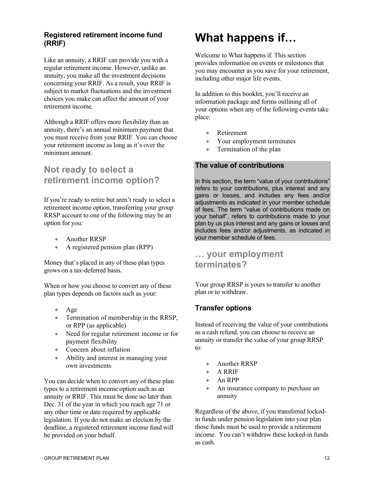## **Registered retirement income fund (RRIF)**

Like an annuity, a RRIF can provide you with a regular retirement income. However, unlike an annuity, you make all the investment decisions concerning your RRIF. As a result, your RRIF is subject to market fluctuations and the investment choices you make can affect the amount of your retirement income.

Although a RRIF offers more flexibility than an annuity, there's an annual minimum payment that you must receive from your RRIF. You can choose your retirement income as long as it's over the minimum amount.

## **Not ready to select a retirement income option?**

If you're ready to retire but aren't ready to select a retirement income option, transferring your group RRSP account to one of the following may be an option for you:

- Another RRSP
- A registered pension plan (RPP)

Money that's placed in any of these plan types grows on a tax-deferred basis.

When or how you choose to convert any of these plan types depends on factors such as your:

- Age
- Termination of membership in the RRSP, or RPP (as applicable)
- Need for regular retirement income or for payment flexibility
- Concern about inflation
- Ability and interest in managing your own investments

You can decide when to convert any of these plan types to a retirement income option such as an annuity or RRIF. This must be done no later than Dec. 31 of the year in which you reach age 71 or any other time or date required by applicable legislation. If you do not make an election by the deadline, a registered retirement income fund will be provided on your behalf.

## **What happens if…**

Welcome to What happens if*.* This section provides information on events or milestones that you may encounter as you save for your retirement, including other major life events.

In addition to this booklet, you'll receive an information package and forms outlining all of your options when any of the following events take place:

- **Retirement**
- Your employment terminates
- Termination of the plan

## **The value of contributions**

In this section, the term "value of your contributions" refers to your contributions, plus interest and any gains or losses, and includes any fees and/or adjustments as indicated in your member schedule of fees. The term "value of contributions made on your behalf", refers to contributions made to your plan by us plus interest and any gains or losses and includes fees and/or adjustments, as indicated in your member schedule of fees.

## **… your employment terminates?**

Your group RRSP is yours to transfer to another plan or to withdraw.

## **Transfer options**

Instead of receiving the value of your contributions as a cash refund, you can choose to receive an annuity or transfer the value of your group RRSP to:

- Another RRSP
- A RRIF
- An RPP
- An insurance company to purchase an annuity

Regardless of the above, if you transferred lockedin funds under pension legislation into your plan those funds must be used to provide a retirement income. You can't withdraw these locked-in funds as cash.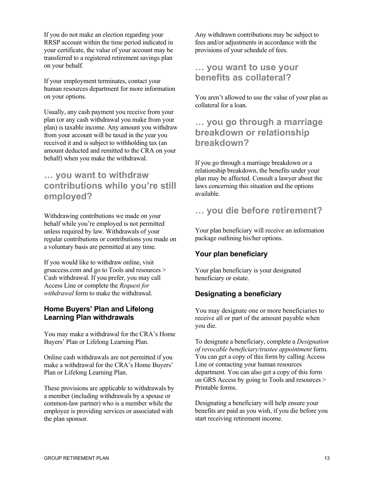If you do not make an election regarding your RRSP account within the time period indicated in your certificate, the value of your account may be transferred to a registered retirement savings plan on your behalf.

If your employment terminates, contact your human resources department for more information on your options.

Usually, any cash payment you receive from your plan (or any cash withdrawal you make from your plan) is taxable income. Any amount you withdraw from your account will be taxed in the year you received it and is subject to withholding tax (an amount deducted and remitted to the CRA on your behalf) when you make the withdrawal.

## **… you want to withdraw contributions while you're still employed?**

Withdrawing contributions we made on your behalf while you're employed is not permitted unless required by law. Withdrawals of your regular contributions or contributions you made on a voluntary basis are permitted at any time.

If you would like to withdraw online, visit [grsaccess.com](http://www.grsaccess.com/) and go to Tools and resources > Cash withdrawal. If you prefer, you may call Access Line or complete the *Request for withdrawal* form to make the withdrawal.

## **Home Buyers' Plan and Lifelong Learning Plan withdrawals**

You may make a withdrawal for the CRA's Home Buyers' Plan or Lifelong Learning Plan.

Online cash withdrawals are not permitted if you make a withdrawal for the CRA's Home Buyers' Plan or Lifelong Learning Plan.

These provisions are applicable to withdrawals by a member (including withdrawals by a spouse or common-law partner) who is a member while the employee is providing services or associated with the plan sponsor.

Any withdrawn contributions may be subject to fees and/or adjustments in accordance with the provisions of your schedule of fees.

## **… you want to use your benefits as collateral?**

You aren't allowed to use the value of your plan as collateral for a loan.

## **… you go through a marriage breakdown or relationship breakdown?**

If you go through a marriage breakdown or a relationship breakdown, the benefits under your plan may be affected. Consult a lawyer about the laws concerning this situation and the options available.

## **… you die before retirement?**

Your plan beneficiary will receive an information package outlining his/her options.

## **Your plan beneficiary**

Your plan beneficiary is your designated beneficiary or estate.

## **Designating a beneficiary**

You may designate one or more beneficiaries to receive all or part of the amount payable when you die.

To designate a beneficiary, complete a *Designation of revocable beneficiary/trustee appointment* form. You can get a copy of this form by calling Access Line or contacting your human resources department. You can also get a copy of this form on GRS Access by going to Tools and resources > Printable forms.

Designating a beneficiary will help ensure your benefits are paid as you wish, if you die before you start receiving retirement income.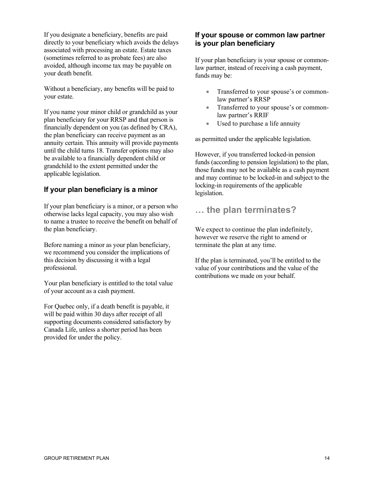If you designate a beneficiary, benefits are paid directly to your beneficiary which avoids the delays associated with processing an estate. Estate taxes (sometimes referred to as probate fees) are also avoided, although income tax may be payable on your death benefit.

Without a beneficiary, any benefits will be paid to your estate.

If you name your minor child or grandchild as your plan beneficiary for your RRSP and that person is financially dependent on you (as defined by CRA), the plan beneficiary can receive payment as an annuity certain. This annuity will provide payments until the child turns 18. Transfer options may also be available to a financially dependent child or grandchild to the extent permitted under the applicable legislation.

## **If your plan beneficiary is a minor**

If your plan beneficiary is a minor, or a person who otherwise lacks legal capacity, you may also wish to name a trustee to receive the benefit on behalf of the plan beneficiary.

Before naming a minor as your plan beneficiary, we recommend you consider the implications of this decision by discussing it with a legal professional.

Your plan beneficiary is entitled to the total value of your account as a cash payment.

For Quebec only, if a death benefit is payable, it will be paid within 30 days after receipt of all supporting documents considered satisfactory by Canada Life, unless a shorter period has been provided for under the policy.

## **If your spouse or common law partner is your plan beneficiary**

If your plan beneficiary is your spouse or commonlaw partner, instead of receiving a cash payment, funds may be:

- Transferred to your spouse's or commonlaw partner's RRSP
- Transferred to your spouse's or commonlaw partner's RRIF
- Used to purchase a life annuity

as permitted under the applicable legislation.

However, if you transferred locked-in pension funds (according to pension legislation) to the plan, those funds may not be available as a cash payment and may continue to be locked-in and subject to the locking-in requirements of the applicable legislation.

## **… the plan terminates?**

We expect to continue the plan indefinitely, however we reserve the right to amend or terminate the plan at any time.

If the plan is terminated, you'll be entitled to the value of your contributions and the value of the contributions we made on your behalf.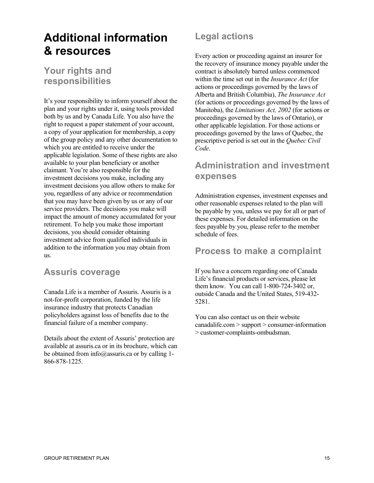## **Additional information & resources**

## **Your rights and responsibilities**

It's your responsibility to inform yourself about the plan and your rights under it, using tools provided both by us and by Canada Life. You also have the right to request a paper statement of your account, a copy of your application for membership, a copy of the group policy and any other documentation to which you are entitled to receive under the applicable legislation. Some of these rights are also available to your plan beneficiary or another claimant. You're also responsible for the investment decisions you make, including any investment decisions you allow others to make for you, regardless of any advice or recommendation that you may have been given by us or any of our service providers. The decisions you make will impact the amount of money accumulated for your retirement. To help you make those important decisions, you should consider obtaining investment advice from qualified individuals in addition to the information you may obtain from us.

## **Assuris coverage**

Canada Life is a member of Assuris. Assuris is a not-for-profit corporation, funded by the life insurance industry that protects Canadian policyholders against loss of benefits due to the financial failure of a member company.

Details about the extent of Assuris' protection are available at assuris.ca or in its brochure, which can be obtained from info@assuris.ca or by calling 1- 866-878-1225.

## **Legal actions**

Every action or proceeding against an insurer for the recovery of insurance money payable under the contract is absolutely barred unless commenced within the time set out in the *Insurance Act* (for actions or proceedings governed by the laws of Alberta and British Columbia), *The Insurance Act* (for actions or proceedings governed by the laws of Manitoba), the *Limitations Act, 2002* (for actions or proceedings governed by the laws of Ontario), or other applicable legislation. For those actions or proceedings governed by the laws of Quebec, the prescriptive period is set out in the *Quebec Civil Code*.

## **Administration and investment expenses**

Administration expenses, investment expenses and other reasonable expenses related to the plan will be payable by you, unless we pay for all or part of these expenses. For detailed information on the fees payable by you, please refer to the member schedule of fees.

## **Process to make a complaint**

If you have a concern regarding one of Canada Life's financial products or services, please let them know. You can call 1-800-724-3402 or, outside Canada and the United States, 519-432- 5281.

You can also contact us on their website canadalife.com > support > consumer-information > customer-complaints-ombudsman.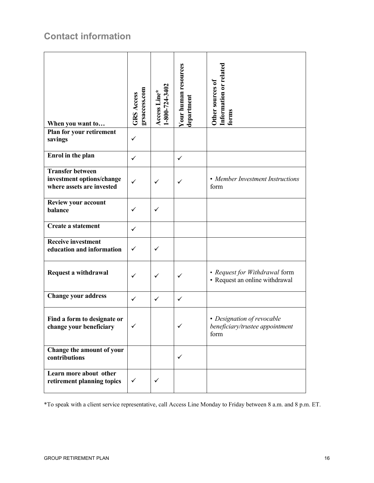## **Contact information**

| When you want to                                                                  | grsaccess.com<br><b>GRS Access</b> | $1-800-724-3402$<br>Access Line* | Your human resources<br>department | Information or related<br>Other sources of<br>forms                   |
|-----------------------------------------------------------------------------------|------------------------------------|----------------------------------|------------------------------------|-----------------------------------------------------------------------|
| Plan for your retirement<br>savings                                               | $\checkmark$                       |                                  |                                    |                                                                       |
| Enrol in the plan                                                                 | $\checkmark$                       |                                  | ✓                                  |                                                                       |
| <b>Transfer between</b><br>investment options/change<br>where assets are invested | $\checkmark$                       | ✓                                | ✓                                  | • Member Investment Instructions<br>form                              |
| <b>Review your account</b><br>balance                                             | ✓                                  | ✓                                |                                    |                                                                       |
| <b>Create a statement</b>                                                         | ✓                                  |                                  |                                    |                                                                       |
| <b>Receive investment</b><br>education and information                            | $\checkmark$                       | $\checkmark$                     |                                    |                                                                       |
| Request a withdrawal                                                              | ✓                                  | ✓                                | $\checkmark$                       | • Request for Withdrawal form<br>• Request an online withdrawal       |
| <b>Change your address</b>                                                        | $\checkmark$                       | $\checkmark$                     | $\checkmark$                       |                                                                       |
| Find a form to designate or<br>change your beneficiary                            | ✓                                  |                                  |                                    | • Designation of revocable<br>beneficiary/trustee appointment<br>form |
| Change the amount of your<br>contributions                                        |                                    |                                  | ✓                                  |                                                                       |
| Learn more about other<br>retirement planning topics                              | $\checkmark$                       | ✓                                |                                    |                                                                       |

\*To speak with a client service representative, call Access Line Monday to Friday between 8 a.m. and 8 p.m. ET.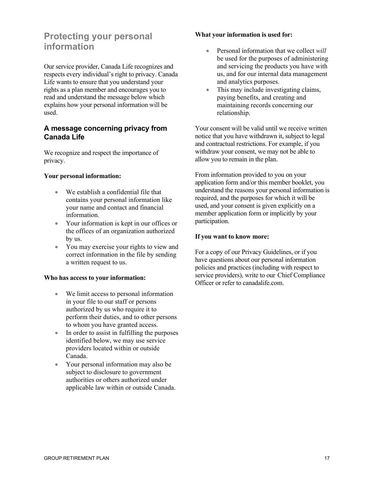## **Protecting your personal information**

Our service provider, Canada Life recognizes and respects every individual's right to privacy. Canada Life wants to ensure that you understand your rights as a plan member and encourages you to read and understand the message below which explains how your personal information will be used.

## **A message concerning privacy from Canada Life**

We recognize and respect the importance of privacy.

### **Your personal information:**

- We establish a confidential file that contains your personal information like your name and contact and financial information.
- Your information is kept in our offices or the offices of an organization authorized by us.
- You may exercise your rights to view and correct information in the file by sending a written request to us.

### **Who has access to your information:**

- We limit access to personal information in your file to our staff or persons authorized by us who require it to perform their duties, and to other persons to whom you have granted access.
- In order to assist in fulfilling the purposes identified below, we may use service providers located within or outside Canada.
- Your personal information may also be subject to disclosure to government authorities or others authorized under applicable law within or outside Canada.

### **What your information is used for:**

- Personal information that we collect *will* be used for the purposes of administering and servicing the products you have with us, and for our internal data management and analytics purposes.
- This may include investigating claims, paying benefits, and creating and maintaining records concerning our relationship.

Your consent will be valid until we receive written notice that you have withdrawn it, subject to legal and contractual restrictions. For example, if you withdraw your consent, we may not be able to allow you to remain in the plan.

From information provided to you on your application form and/or this member booklet, you understand the reasons your personal information is required, and the purposes for which it will be used, and your consent is given explicitly on a member application form or implicitly by your participation.

### **If you want to know more:**

For a copy of our Privacy Guidelines, or if you have questions about our personal information policies and practices (including with respect to service providers), write to our Chief Compliance Officer or refer to canadalife.com.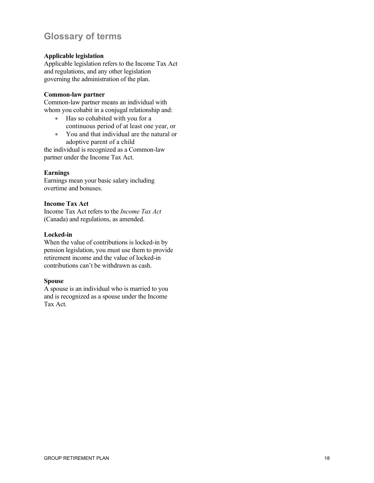## **Glossary of terms**

### **Applicable legislation**

Applicable legislation refers to the Income Tax Act and regulations, and any other legislation governing the administration of the plan.

#### **Common-law partner**

Common-law partner means an individual with whom you cohabit in a conjugal relationship and:

- Has so cohabited with you for a continuous period of at least one year, or
- You and that individual are the natural or adoptive parent of a child

the individual is recognized as a Common-law partner under the Income Tax Act.

### **Earnings**

Earnings mean your basic salary including overtime and bonuses.

### **Income Tax Act**

Income Tax Act refers to the *Income Tax Act* (Canada) and regulations, as amended.

### **Locked-in**

When the value of contributions is locked-in by pension legislation, you must use them to provide retirement income and the value of locked-in contributions can't be withdrawn as cash.

#### **Spouse**

A spouse is an individual who is married to you and is recognized as a spouse under the Income Tax Act.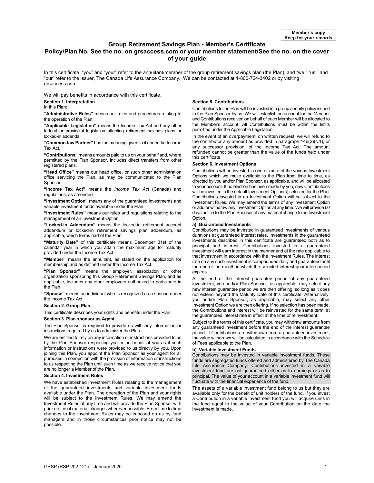#### **Group Retirement Savings Plan - Member's Certificate**

#### **Policy/Plan No. See the no. on [grsaccess.com](http://www.grsaccess.com/) or your member statement/See the no. on the cover of your guide**

In this certificate, "you" and "your" refer to the annuitant/member of the group retirement savings plan (the Plan), and "we," "us," and "our" refer to the issuer, The Canada Life Assurance Company. We can be contacted at 1-800-724-3402 or by visiting grsaccess.com.

We will pay benefits in accordance with this certificate.

#### **Section 1. Interpretation**

#### In this Plan:

**"Administrative Rules"** means our rules and procedures relating to the operation of the Plan.

**"Applicable Legislation"** means the Income Tax Act and any other federal or provincial legislation affecting retirement savings plans or locked-in addenda.

**"Common-law Partner"** has the meaning given to it under the Income Tax Act.

**"Contributions"** means amounts paid to us on your behalf and, where permitted by the Plan Sponsor, includes direct transfers from other registered plans.

**"Head Office"** means our head office, or such other administration office servicing the Plan, as may be communicated to the Plan Sponsor.

**"Income Tax Act"** means the *Income Tax Act* (Canada) and regulations, as amended.

**"Investment Option"** means any of the guaranteed investments and variable investment funds available under the Plan.

**"Investment Rules"** means our rules and regulations relating to the management of an Investment Option.

**"Locked-in Addendum"** means the locked-in retirement account addendum or locked-in retirement savings plan addendum, as applicable, which forms part of the Plan.

**"Maturity Date"** of this certificate means December 31st of the calendar year in which you attain the maximum age for maturity provided under the Income Tax Act.

**"Member"** means the annuitant, as stated on the application for membership and as defined under the Income Tax Act.

**"Plan Sponsor"** means the employer, association or other organization sponsoring this Group Retirement Savings Plan, and as applicable, includes any other employers authorized to participate in the Plan.

**"Spouse"** means an individual who is recognized as a spouse under the Income Tax Act.

#### **Section 2. Group Plan**

This certificate describes your rights and benefits under the Plan.

#### **Section 3. Plan sponsor as Agent**

The Plan Sponsor is required to provide us with any information or instructions required by us to administer the Plan.

We are entitled to rely on any information or instructions provided to us by the Plan Sponsor respecting you or on behalf of you as if such information or instructions were provided to us directly by you. Upon joining this Plan, you appoint the Plan Sponsor as your agent for all purposes in connection with the provision of information or instructions to us respecting the Plan until such time as we receive notice that you are no longer a Member of the Plan.

#### **Section 4. Investment Rules**

We have established Investment Rules relating to the management of the guaranteed investments and variable investment funds available under the Plan. The operation of the Plan and your rights will be subject to the Investment Rules. We may amend the Investment Rules at any time and will provide the Plan Sponsor with prior notice of material changes wherever possible. From time to time changes to the Investment Rules may be imposed on us by fund managers and in those circumstances prior notice may not be possible.

#### **Section 5. Contributions**

Contributions to the Plan will be invested in a group annuity policy issued to the Plan Sponsor by us. We will establish an account for the Member and Contributions received on behalf of each Member will be allocated to the Member's account. All Contributions must be within the limits permitted under the Applicable Legislation.

In the event of an overpayment, on written request, we will refund to the contributor any amount as provided in paragraph 146(2)(c.1), or any successor provision, of the Income Tax Act. The amount refunded cannot be greater than the value of the funds held under this certificate.

#### **Section 6. Investment Options**

Contributions will be invested in one or more of the various Investment Options which we make available to the Plan from time to time, as directed by you and/or Plan Sponsor, as applicable, and will be allocated to your account. If no election has been made by you, new Contributions will be invested in the default Investment Option(s) selected for the Plan. Contributions invested in an Investment Option will be subject to the Investment Rules. We may amend the terms of any Investment Option or add or withdraw any Investment Option at any time. We will provide 60 days notice to the Plan Sponsor of any material change to an Investment Option.

#### **a) Guaranteed Investments**

Contributions may be invested in guaranteed investments of various durations at guaranteed interest rates. Investments in the guaranteed investments described in this certificate are guaranteed both as to principal and interest. Contributions invested in a guaranteed investment will earn interest in the manner and at the rate applicable to that investment in accordance with the Investment Rules. The interest rate on any such investment is compounded daily and guaranteed until the end of the month in which the selected interest guarantee period expires.

At the end of the interest guarantee period of any guaranteed investment, you and/or Plan Sponsor, as applicable, may select any new interest guarantee period we are then offering, so long as it does not extend beyond the Maturity Date of this certificate. Alternatively, you and/or Plan Sponsor, as applicable, may select any other Investment Option we are then offering. If no selection has been made, the Contributions and interest will be reinvested for the same term, at the guaranteed interest rate in effect at the time of reinvestment.

Subject to the terms of this certificate, you may withdraw amounts from any quaranteed investment before the end of the interest quarantee period. If Contributions are withdrawn from a guaranteed investment, the value withdrawn will be calculated in accordance with the Schedule of Fees applicable to the Plan.

#### **b) Variable Investment Funds**

Contributions may be invested in variable investment funds. These funds are segregated funds offered and administered by The Canada Life Assurance Company. Contributions invested in a variable investment fund are not guaranteed either as to earnings or as to principal. The value of your account in a variable investment fund will fluctuate with the financial experience of the fund.

The assets of a variable investment fund belong to us but they are available only for the benefit of unit holders of the fund. If you invest a Contribution in a variable investment fund you will acquire units in the fund equal to the value of your Contribution on the date the investment is made.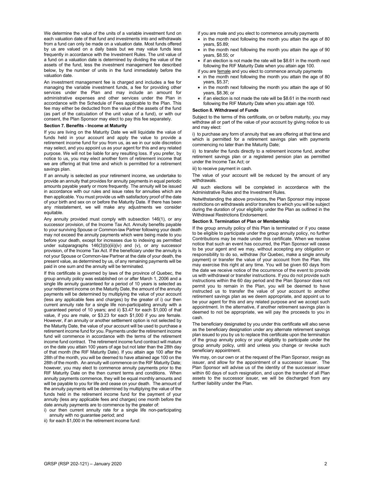We determine the value of the units of a variable investment fund on each valuation date of that fund and investments into and withdrawals from a fund can only be made on a valuation date. Most funds offered by us are valued on a daily basis but we may value funds less frequently in accordance with the Investment Rules. The unit value of a fund on a valuation date is determined by dividing the value of the assets of the fund, less the investment management fee described below, by the number of units in the fund immediately before the valuation date.

An investment management fee is charged and includes a fee for managing the variable investment funds, a fee for providing other services under the Plan and may include an amount for administrative expenses and other services under the Plan in accordance with the Schedule of Fees applicable to the Plan. This fee may either be deducted from the value of the assets of the fund (as part of the calculation of the unit value of a fund), or with our consent, the Plan Sponsor may elect to pay this fee separately.

#### **Section 7. Benefits - Income at Maturity**

If you are living on the Maturity Date we will liquidate the value of funds held in your account and apply the value to provide a retirement income fund for you from us, as we in our sole discretion may select, and you appoint us as your agent for this and any related purpose. We will not be liable for any resulting loss. If you prefer, by notice to us, you may elect another form of retirement income that we are offering at that time and which is permitted for a retirement savings plan.

If an annuity is selected as your retirement income, we undertake to provide an annuity that provides for annuity payments in equal periodic amounts payable yearly or more frequently. The annuity will be issued in accordance with our rules and issue rates for annuities which are then applicable. You must provide us with satisfactory proof of the date of your birth and sex on or before the Maturity Date. If there has been any misstatement, we will make any adjustments we consider equitable.

Any annuity provided must comply with subsection 146(1), or any successor provision, of the Income Tax Act. Annuity benefits payable to your surviving Spouse or Common-law Partner following your death may not exceed the annuity payments which were being made to you before your death, except for increases due to indexing as permitted under subparagraphs 146(3)(b)(iii)(iv) and (v), or any successor provision, of the Income Tax Act. If the beneficiary under the annuity is not your Spouse or Common-law Partner at the date of your death, the present value, as determined by us, of any remaining payments will be paid in one sum and the annuity will be terminated.

If this certificate is governed by laws of the province of Quebec, the group annuity policy was established on or after March 1, 2006 and a single life annuity guaranteed for a period of 10 years is selected as your retirement income on the Maturity Date, the amount of the annuity payments will be determined by multiplying the value of your account (less any applicable fees and charges) by the greater of i) our then current annuity rate for a single life non-participating annuity with a guaranteed period of 10 years; and ii) \$3.47 for each \$1,000 of that value, if you are male, or \$3.23 for each \$1,000 if you are female. However, if an annuity or another settlement option is not selected by the Maturity Date, the value of your account will be used to purchase a retirement income fund for you. Payments under the retirement income fund will commence in accordance with the terms of the retirement income fund contract. The retirement income fund contract will mature on the date you attain 100 years of age but not later than the 28th day of that month (the RIF Maturity Date). If you attain age 100 after the 28th of the month, you will be deemed to have attained age 100 on the 28th of the month. An annuity will commence on the RIF Maturity Date; however, you may elect to commence annuity payments prior to the RIF Maturity Date on the then current terms and conditions. When annuity payments commence, they will be equal monthly amounts and will be payable to you for life and cease on your death. The amount of the annuity payments will be determined by multiplying the value of the funds held in the retirement income fund for the payment of your annuity (less any applicable fees and charges) one month before the date annuity payments are to commence by the greater of:

i) our then current annuity rate for a single life non-participating annuity with no guarantee period; and

ii) for each \$1,000 in the retirement income fund:

if you are male and you elect to commence annuity payments

- in the month next following the month you attain the age of 80 years, \$5.89;
- in the month next following the month you attain the age of 90 years, \$8.55; or
- if an election is not made the rate will be \$8.61 in the month next following the RIF Maturity Date when you attain age 100.
- if you are **female** and you elect to commence annuity payments
- in the month next following the month you attain the age of 80 years, \$5.37;
- in the month next following the month you attain the age of 90 years, \$8.36; or
- if an election is not made the rate will be \$8.61 in the month next following the RIF Maturity Date when you attain age 100.

#### **Section 8. Withdrawal of Funds**

Subject to the terms of this certificate, on or before maturity, you may withdraw all or part of the value of your account by giving notice to us and may elect:

i) to purchase any form of annuity that we are offering at that time and which is permitted for a retirement savings plan with payments commencing no later than the Maturity Date;

ii) to transfer the funds directly to a retirement income fund, another retirement savings plan or a registered pension plan as permitted under the Income Tax Act; or

iii) to receive payment in cash.

The value of your account will be reduced by the amount of any withdrawals.

All such elections will be completed in accordance with the Administrative Rules and the Investment Rules.

Notwithstanding the above provisions, the Plan Sponsor may impose restrictions on withdrawals and/or transfers to which you will be subject during the duration of your eligibility under the Plan as outlined in the Withdrawal Restrictions Endorsement.

#### **Section 9. Termination of Plan or Membership**

If the group annuity policy of this Plan is terminated or if you cease to be eligible to participate under the group annuity policy, no further Contributions may be made under this certificate. When we receive notice that such an event has occurred, the Plan Sponsor will cease to be your agent and we may, without accepting any obligation or responsibility to do so, withdraw (for Quebec, make a single annuity payment) or transfer the value of your account from the Plan. We may exercise this right at any time. You will be given 60 days from the date we receive notice of the occurrence of the event to provide us with withdrawal or transfer instructions. If you do not provide such instructions within the 60 day period and the Plan Sponsor does not permit you to remain in the Plan, you will be deemed to have instructed us to transfer the value of your account to another retirement savings plan as we deem appropriate, and appoint us to be your agent for this and any related purpose and we accept such appointment. In the alternative, if another retirement savings plan is deemed to not be appropriate, we will pay the proceeds to you in cash.

The beneficiary designated by you under this certificate will also serve as the beneficiary designation under any alternate retirement savings plan issued to you by us to replace this certificate upon the termination of the group annuity policy or your eligibility to participate under the group annuity policy, until and unless you change or revoke such beneficiary appointment.

We may, on our own or at the request of the Plan Sponsor, resign as issuer, and allow for the appointment of a successor issuer. The Plan Sponsor will advise us of the identity of the successor issuer within 60 days of such resignation, and upon the transfer of all Plan assets to the successor issuer, we will be discharged from any further liability under the Plan.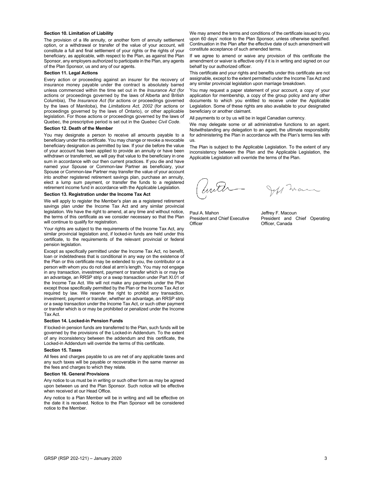#### **Section 10. Limitation of Liability**

The provision of a life annuity, or another form of annuity settlement option, or a withdrawal or transfer of the value of your account, will constitute a full and final settlement of your rights or the rights of your beneficiary, as applicable, with respect to the Plan, as against the Plan Sponsor, any employers authorized to participate in the Plan, any agents of the Plan Sponsor, us and any of our agents.

#### **Section 11. Legal Actions**

Every action or proceeding against an insurer for the recovery of insurance money payable under the contract is absolutely barred unless commenced within the time set out in the *Insurance Act* (for actions or proceedings governed by the laws of Alberta and British Columbia), *The Insurance Act* (for actions or proceedings governed by the laws of Manitoba), the *Limitations Act, 2002* (for actions or proceedings governed by the laws of Ontario), or other applicable legislation. For those actions or proceedings governed by the laws of Quebec, the prescriptive period is set out in the *Quebec Civil Code*.

#### **Section 12. Death of the Member**

You may designate a person to receive all amounts payable to a beneficiary under this certificate. You may change or revoke a revocable beneficiary designation as permitted by law. If your die before the value of your account has been applied to provide an annuity or have been withdrawn or transferred, we will pay that value to the beneficiary in one sum in accordance with our then current practices. If you die and have named your Spouse or Common-law Partner as beneficiary, your Spouse or Common-law Partner may transfer the value of your account into another registered retirement savings plan, purchase an annuity, elect a lump sum payment, or transfer the funds to a registered retirement income fund in accordance with the Applicable Legislation.

#### **Section 13. Registration under the Income Tax Act**

We will apply to register the Member's plan as a registered retirement savings plan under the Income Tax Act and any similar provincial legislation. We have the right to amend, at any time and without notice, the terms of this certificate as we consider necessary so that the Plan will continue to qualify for registration.

Your rights are subject to the requirements of the Income Tax Act, any similar provincial legislation and, if locked-in funds are held under this certificate, to the requirements of the relevant provincial or federal pension legislation

Except as specifically permitted under the Income Tax Act, no benefit, loan or indebtedness that is conditional in any way on the existence of the Plan or this certificate may be extended to you, the contributor or a person with whom you do not deal at arm's length. You may not engage in any transaction, investment, payment or transfer which is or may be an advantage, an RRSP strip or a swap transaction under Part XI.01 of the Income Tax Act. We will not make any payments under the Plan except those specifically permitted by the Plan or the Income Tax Act or required by law. We reserve the right to prohibit any transaction, investment, payment or transfer, whether an advantage, an RRSP strip or a swap transaction under the Income Tax Act, or such other payment or transfer which is or may be prohibited or penalized under the Income Tax Act.

#### **Section 14. Locked-in Pension Funds**

If locked-in pension funds are transferred to the Plan, such funds will be governed by the provisions of the Locked-in Addendum. To the extent of any inconsistency between the addendum and this certificate, the Locked-in Addendum will override the terms of this certificate.

#### **Section 15. Taxes**

All fees and charges payable to us are net of any applicable taxes and any such taxes will be payable or recoverable in the same manner as the fees and charges to which they relate.

#### **Section 16. General Provisions**

Any notice to us must be in writing or such other form as may be agreed upon between us and the Plan Sponsor. Such notice will be effective when received at our Head Office.

Any notice to a Plan Member will be in writing and will be effective on the date it is received. Notice to the Plan Sponsor will be considered notice to the Member.

We may amend the terms and conditions of the certificate issued to you upon 60 days' notice to the Plan Sponsor, unless otherwise specified. Continuation in the Plan after the effective date of such amendment will constitute acceptance of such amended terms.

If we agree to amend or waive any provision of this certificate the amendment or waiver is effective only if it is in writing and signed on our behalf by our authorized officer.

This certificate and your rights and benefits under this certificate are not assignable, except to the extent permitted under the Income Tax Act and any similar provincial legislation upon marriage breakdown.

You may request a paper statement of your account, a copy of your application for membership, a copy of the group policy and any other documents to which you entitled to receive under the Applicable Legislation. Some of these rights are also available to your designated beneficiary or another claimant.

All payments to or by us will be in legal Canadian currency.

We may delegate some or all administrative functions to an agent. Notwithstanding any delegation to an agent, the ultimate responsibility for administering the Plan in accordance with the Plan's terms lies with us.

The Plan is subject to the Applicable Legislation. To the extent of any inconsistency between the Plan and the Applicable Legislation, the Applicable Legislation will override the terms of the Plan.

Jeff man

Paul A. Mahon **Jeffrey F. Macoun** 

President and Chief Executive President and Chief Operating Officer, Canada